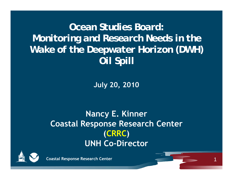*Ocean Studies Board:Monitoring and Research Needs in the Wake of the Deepwater Horizon (DWH) Oil Spill*

**July 20, 2010**

**Nancy E. Kinner Coastal Response Research Center (CRRC ) UNH Co-Director**

1



**Coastal Response Research Center**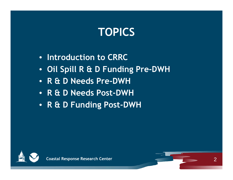# **TOPICS**

- **Introduction to CRRC**
- **Oil Spill R & D Funding Pre-DWH**
- **R & D N d P Needs Pre-DWH**
- **R & D Needs Post-DWH**
- **R & D Funding Post-DWH**



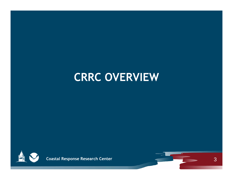# **CRRC OVERVIEW**



**Coastal Response Research Center**

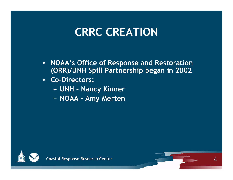# **CRRC CREATION**

• **NOAA's Office of Response and Restoration (ORR)/UNH Spill Partnership began in 2002**

 $\boldsymbol{\varDelta}$ 

- • **Co -Directors:**
	- **UNH – Nancy Kinner**
	- − **NOAA – Am y Merten**

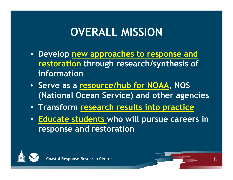# **OVERALL MISSION**

- **Develop new approaches to response and restoration through research/synthesis of information**
- **Serve as a resource/hub for NOAA, NOS (National Ocean Service) and other agencies**
- **Transform research results into practice**
- **Educate students who will pursue careers in response and restoration**



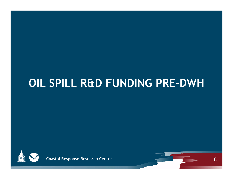# **OIL SPILL R&D FUNDING PRE-DWH**



**Coastal Response Research Center**

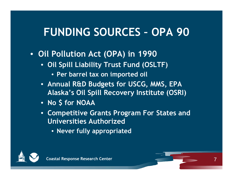#### **FUNDING SOURCES OPA 90**

- **Oil Pollution Act (OPA) in 1990**
	- **Oil Spill Liability Trust Fund (OSLTF)**
		- **Per barrel tax on imported oil**
	- **Annual R&D Budgets for USCG, MMS, EPA Alaska's Oil Spill Recovery Institute (OSRI)**
	- **N \$ f NOAA o for**
	- **Competitive Grants Program For States and Universities Authorized**

7

• **Never fully appropriated**

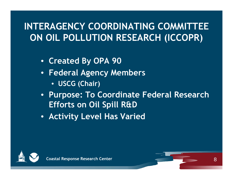## **INTERAGENCY COORDINATING COMMITTEE ON OIL POLLUTION RESEARCH (ICCOPR )**

- **Created By OPA 90**
- **Federal Agency Members**
	- **USCG (Chair)**
- **Purpose: To Coordinate Federal Research Efforts on Oil Spill R&D**
- **Activity Level Has Varied**



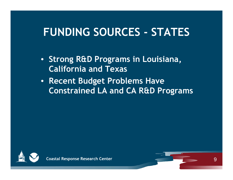#### **FUNDING SOURCES STATES**

- **Strong R&D Programs in Louisiana, California and Texas**
- **R t B d t P bl H Recent u dget Problems Have Constrained LA and CA R&D Programs**



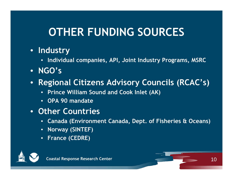# **OTHER FUNDING SOURCES**

## • **Industry**

- **Individual companies, API, Joint Industry Programs, MSRC**
- **NGO's**
- $\bullet$  **Regional Citizens Advisory Councils (RCAC's)**
	- **Prince William Sound and Cook Inlet (AK)**
	- **OPA 90 mandate**
- **Other Countries**
	- **Canada ( ,p ) Environment Canada, De pt. of Fisheries & Oceans**
	- **Norway (SINTEF)**
	- **France (CEDRE)**



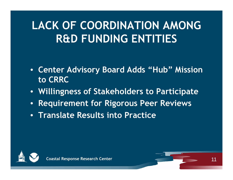# **LACK OF COORDINATION AMONG R&D FUNDING ENTITIES**

- **Center Advisory Board Adds "Hub" Mission to CRRC**
- **Willingness of Stakeholders to Participate**
- $\bullet$ **R i t f Ri P R i Requ irement for Rigorous Peer Rev iews**
- **Translate Results into Practice**



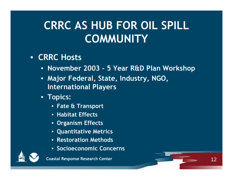# **CRRC AS HUB FOR OIL SPILL COMMUNITY**

### • **CRRC Hosts**

• **November 2003 – 5 Year R&D Plan Workshop**

12

- **Major Federal State Industry NGO , , , , International Players**
- **Topics:** 
	- **Fate & Transport**
	- **Habitat Effects**
	- **Organism Effects**
	- **Quantitative Metrics**
	- **Restoration Methods**
	- **S i i C Socioeconomic Concerns**



**Coastal Response Research Center**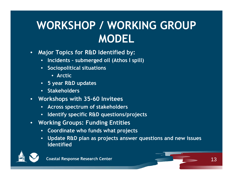# **WORKSHOP / WORKING GROUP MODEL**

- • **Major Topics for R&D Identified by:**
	- **Incidents – submerged oil (Athos I spill)**
	- **Sociopolitical situations**
		- **Arctic**
	- **5 year R&D updates**
	- **Stakeholders**
- **Worksho ps with 35-60 Invitees**
	- **Across spectrum of stakeholders**
	- **Identify specific R&D questions/projects**
- **Working Groups: Funding Entities** 
	- **Coordinate who funds what projects**
	- **Update R&D plan as projects answer questions and new issues identified**

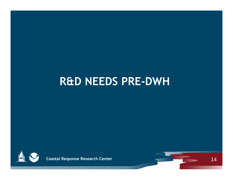## **R&D NEEDS PRE -DWH**



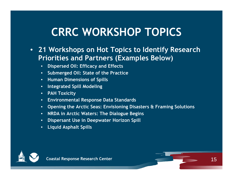# **CRRC WORKSHOP TOPICS**

- **21 Workshops on Hot Topics to Identify Research Priorities and Partners (Examples Below)** 
	- **Dispersed Oil: Efficacy and Effects**
	- **Submerged Oil: State of the Practice**
	- **H Di i f S ill Human Dimensions of pill s**
	- **Integrated Spill Modeling**
	- **PAH Toxicity**
	- **Environmental Response Data Standards**
	- **Opening the Arctic Seas: Envisioning Disasters & Framing Solutions**
	- **NRDA in Arctic Waters: The Dialogue Begins**
	- **Dispersant Use in Deepwater Horizon Spill**
	- **Liquid Asphalt Spills**



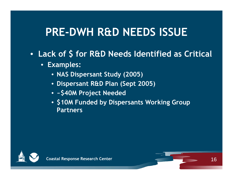# **PRE-DWH R&D NEEDS ISSUE**

- $\bullet$  **Lack of \$ for R&D Needs Identified as Critical**
	- **Examples:** 
		- **NAS Dispersant Study (2005)**
		- **Dispersant R&D Plan (Sept 2005)**
		- **~\$40M Project Needed**
		- **\$10M Funded by Dispersants Working Group Partners**



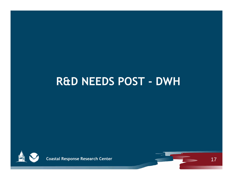

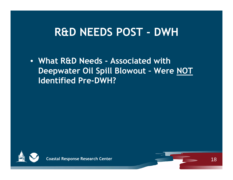• **What R&D Needs - Associated with Deepwater Oil Spill Blowout – Were NOT Id tifi d P Identifi ed Pre-DWH?**



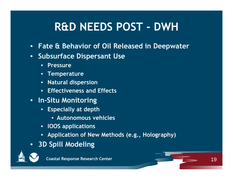- •**Fate & Behavior of Oil Released in Deepwater**
- • **Subsurface Dispersant Use**
	- •**Pressure**
	- **Temperature**
	- **Natural dispersion**
	- **Effectiveness and Effects**
- **In -Situ Monitoring**
	- **Especially at depth**
		- **Autonomous vehicles**
	- **IOOS applications**
	- **Application of New Methods (e.g., Holography)**
- **3D Spill Modeling**



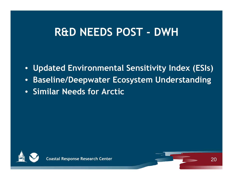- •**Updated Environmental Sensitivity Index (ESIs)**
- •**Baseline/Deepwater Ecosystem Understanding**
- **Similar Needs for Arctic**



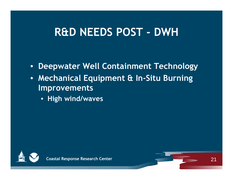- •**Deepwater Well Containment Technology**
- **Mechanical Equipment & In -Situ Burning Improvements**
	- **Hi gh wind/waves**



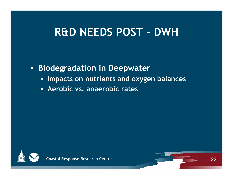$\bullet$ **Biodegradation in Deepwater**

- **Impacts on nutrients and oxygen balances**
- **Aerobic vs. anaerobic rates**



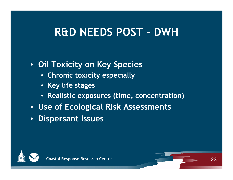## • **Oil Toxicity on Key Species**

- **Chronic toxicity especially**
- **Key life stages**
- **Realistic exposures (time, concentration)**
- **Use of Ecological Risk Assessments**
- **Dispersant Issues**



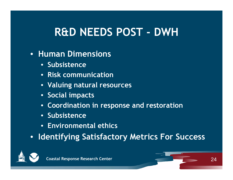### • **Human Dimensions**

- **Subsistence**
- **Risk communication**
- **Valuing natural resources**
- **Social impacts**
- **Coordination in response and restoration**
- **Subsistence**
- **E i t l thi Environmenal ethics**
- **Identifying Satisfactory Metrics For Success**



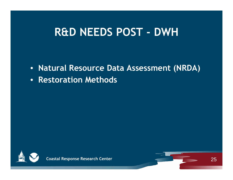- **Natural Resource Data Assessment (NRDA)**
- **Restoration Methods**



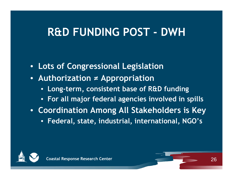#### **R&D FUNDING POST DWH**

- **Lots of Congressional Legislation**
- **Authorization <sup>≠</sup> Appropriation**
	- **Long-term, consistent base of R&D funding**
	- **For all major federal agencies involved in spills**
- **Coordination Among All Stakeholders is Key**
	- **Federal ,, , , state , industrial , international , NGO's**



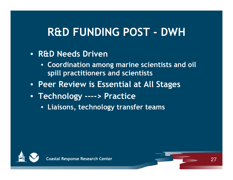#### **R&D FUNDING POST DWH**

## • **R&D Needs Driven**

- **Coordination among marine scientists and oil spill practitioners and scientists**
- **Peer Review is Essential at All Stages**
- **Technology ----> Practice**
	- **Liaisons, technology transfer teams**